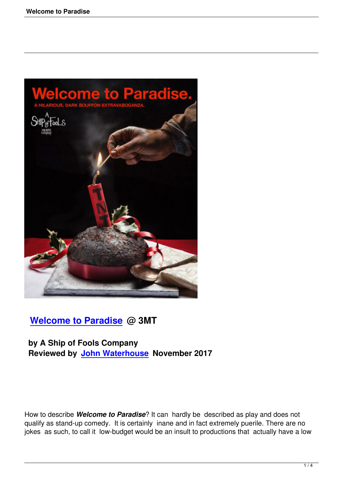

## **Welcome to Paradise @ 3MT**

## **by A Ship of Fools Company [Reviewed by John Water](welcome-to-paradise.html)house November 2017**

How to describe *Welcome to Paradise*? It can hardly be described as play and does not qualify as stand-up comedy. It is certainly inane and in fact extremely puerile. There are no jokes as such, to call it low-budget would be an insult to productions that actually have a low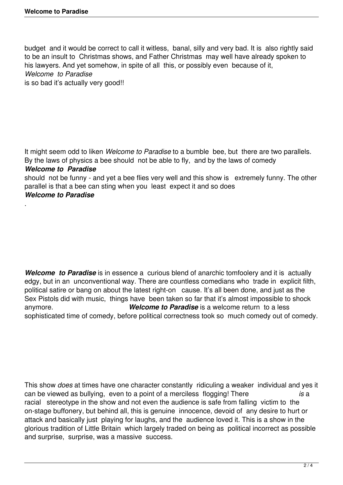budget and it would be correct to call it witless, banal, silly and very bad. It is also rightly said to be an insult to Christmas shows, and Father Christmas may well have already spoken to his lawyers. And yet somehow, in spite of all this, or possibly even because of it, *Welcome to Paradise*  is so bad it's actually very good!!

It might seem odd to liken *Welcome to Paradise* to a bumble bee, but there are two parallels. By the laws of physics a bee should not be able to fly, and by the laws of comedy

## *Welcome to Paradise*

.

should not be funny - and yet a bee flies very well and this show is extremely funny. The other parallel is that a bee can sting when you least expect it and so does *Welcome to Paradise*

*Welcome to Paradise* is in essence a curious blend of anarchic tomfoolery and it is actually edgy, but in an unconventional way. There are countless comedians who trade in explicit filth, political satire or bang on about the latest right-on cause. It's all been done, and just as the Sex Pistols did with music, things have been taken so far that it's almost impossible to shock<br> **Welcome to Paradise** is a welcome return to a less **Welcome to Paradise** is a welcome return to a less sophisticated time of comedy, before political correctness took so much comedy out of comedy.

This show *does* at times have one character constantly ridiculing a weaker individual and yes it can be viewed as bullying, even to a point of a merciless flogging! There *is* a racial stereotype in the show and not even the audience is safe from falling victim to the on-stage buffonery, but behind all, this is genuine innocence, devoid of any desire to hurt or attack and basically just playing for laughs, and the audience loved it. This is a show in the glorious tradition of Little Britain which largely traded on being as political incorrect as possible and surprise, surprise, was a massive success.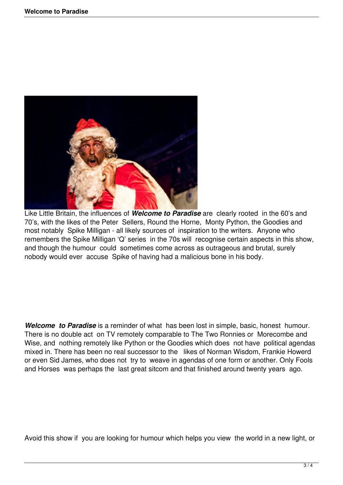

Like Little Britain, the influences of *Welcome to Paradise* are clearly rooted in the 60's and 70's, with the likes of the Peter Sellers, Round the Horne, Monty Python, the Goodies and most notably Spike Milligan - all likely sources of inspiration to the writers. Anyone who remembers the Spike Milligan 'Q' series in the 70s will recognise certain aspects in this show, and though the humour could sometimes come across as outrageous and brutal, surely nobody would ever accuse Spike of having had a malicious bone in his body.

*Welcome to Paradise* is a reminder of what has been lost in simple, basic, honest humour. There is no double act on TV remotely comparable to The Two Ronnies or Morecombe and Wise, and nothing remotely like Python or the Goodies which does not have political agendas mixed in. There has been no real successor to the likes of Norman Wisdom, Frankie Howerd or even Sid James, who does not try to weave in agendas of one form or another. Only Fools and Horses was perhaps the last great sitcom and that finished around twenty years ago.

Avoid this show if you are looking for humour which helps you view the world in a new light, or